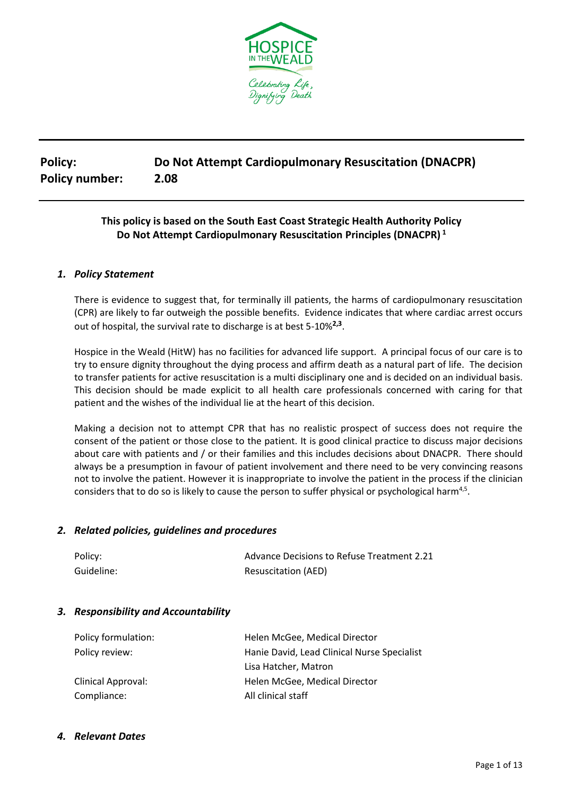

# **Policy: Do Not Attempt Cardiopulmonary Resuscitation (DNACPR) Policy number: 2.08**

# **This policy is based on the South East Coast Strategic Health Authority Policy Do Not Attempt Cardiopulmonary Resuscitation Principles (DNACPR) 1**

#### *1. Policy Statement*

There is evidence to suggest that, for terminally ill patients, the harms of cardiopulmonary resuscitation (CPR) are likely to far outweigh the possible benefits. Evidence indicates that where cardiac arrest occurs out of hospital, the survival rate to discharge is at best 5-10%**2,3** .

Hospice in the Weald (HitW) has no facilities for advanced life support. A principal focus of our care is to try to ensure dignity throughout the dying process and affirm death as a natural part of life. The decision to transfer patients for active resuscitation is a multi disciplinary one and is decided on an individual basis. This decision should be made explicit to all health care professionals concerned with caring for that patient and the wishes of the individual lie at the heart of this decision.

Making a decision not to attempt CPR that has no realistic prospect of success does not require the consent of the patient or those close to the patient. It is good clinical practice to discuss major decisions about care with patients and / or their families and this includes decisions about DNACPR. There should always be a presumption in favour of patient involvement and there need to be very convincing reasons not to involve the patient. However it is inappropriate to involve the patient in the process if the clinician considers that to do so is likely to cause the person to suffer physical or psychological harm<sup>4,5</sup>.

#### *2. Related policies, guidelines and procedures*

| Policy:    | Advance Decisions to Refuse Treatment 2.21 |
|------------|--------------------------------------------|
| Guideline: | <b>Resuscitation (AED)</b>                 |

#### *3. Responsibility and Accountability*

| Policy formulation: | Helen McGee, Medical Director               |
|---------------------|---------------------------------------------|
| Policy review:      | Hanie David, Lead Clinical Nurse Specialist |
|                     | Lisa Hatcher, Matron                        |
| Clinical Approval:  | Helen McGee, Medical Director               |
| Compliance:         | All clinical staff                          |

#### *4. Relevant Dates*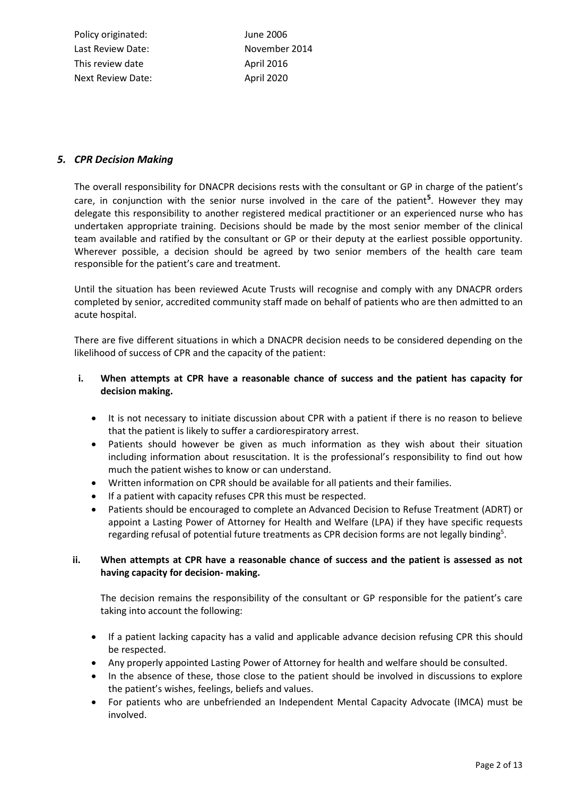Policy originated: June 2006 Last Review Date: November 2014 This review date April 2016 Next Review Date: April 2020

#### *5. CPR Decision Making*

The overall responsibility for DNACPR decisions rests with the consultant or GP in charge of the patient's care, in conjunction with the senior nurse involved in the care of the patient**<sup>5</sup>** . However they may delegate this responsibility to another registered medical practitioner or an experienced nurse who has undertaken appropriate training. Decisions should be made by the most senior member of the clinical team available and ratified by the consultant or GP or their deputy at the earliest possible opportunity. Wherever possible, a decision should be agreed by two senior members of the health care team responsible for the patient's care and treatment.

Until the situation has been reviewed Acute Trusts will recognise and comply with any DNACPR orders completed by senior, accredited community staff made on behalf of patients who are then admitted to an acute hospital.

There are five different situations in which a DNACPR decision needs to be considered depending on the likelihood of success of CPR and the capacity of the patient:

#### **i. When attempts at CPR have a reasonable chance of success and the patient has capacity for decision making.**

- It is not necessary to initiate discussion about CPR with a patient if there is no reason to believe that the patient is likely to suffer a cardiorespiratory arrest.
- Patients should however be given as much information as they wish about their situation including information about resuscitation. It is the professional's responsibility to find out how much the patient wishes to know or can understand.
- Written information on CPR should be available for all patients and their families.
- If a patient with capacity refuses CPR this must be respected.
- Patients should be encouraged to complete an Advanced Decision to Refuse Treatment (ADRT) or appoint a Lasting Power of Attorney for Health and Welfare (LPA) if they have specific requests regarding refusal of potential future treatments as CPR decision forms are not legally binding<sup>5</sup>.

#### **ii. When attempts at CPR have a reasonable chance of success and the patient is assessed as not having capacity for decision- making.**

The decision remains the responsibility of the consultant or GP responsible for the patient's care taking into account the following:

- If a patient lacking capacity has a valid and applicable advance decision refusing CPR this should be respected.
- Any properly appointed Lasting Power of Attorney for health and welfare should be consulted.
- In the absence of these, those close to the patient should be involved in discussions to explore the patient's wishes, feelings, beliefs and values.
- For patients who are unbefriended an Independent Mental Capacity Advocate (IMCA) must be involved.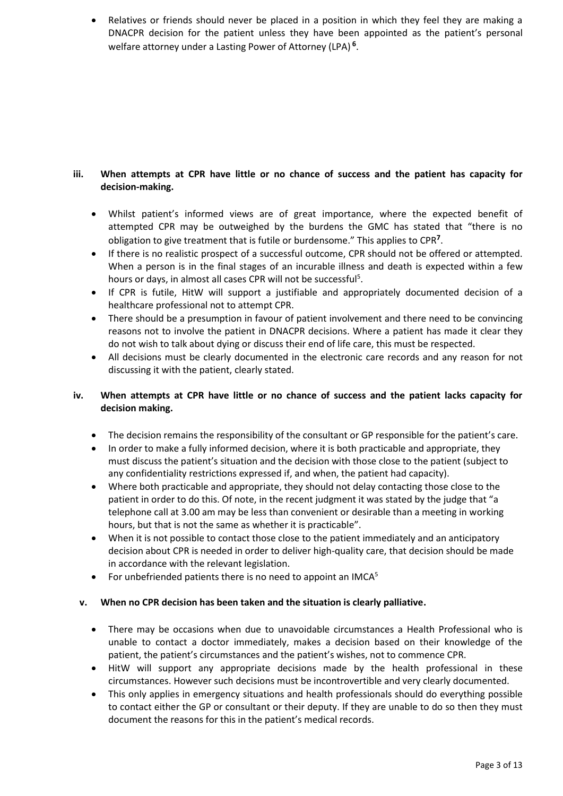• Relatives or friends should never be placed in a position in which they feel they are making a DNACPR decision for the patient unless they have been appointed as the patient's personal welfare attorney under a Lasting Power of Attorney (LPA) **6** .

#### **iii. When attempts at CPR have little or no chance of success and the patient has capacity for decision-making.**

- Whilst patient's informed views are of great importance, where the expected benefit of attempted CPR may be outweighed by the burdens the GMC has stated that "there is no obligation to give treatment that is futile or burdensome." This applies to CPR**<sup>7</sup>** .
- If there is no realistic prospect of a successful outcome, CPR should not be offered or attempted. When a person is in the final stages of an incurable illness and death is expected within a few hours or days, in almost all cases CPR will not be successful<sup>5</sup>.
- If CPR is futile, HitW will support a justifiable and appropriately documented decision of a healthcare professional not to attempt CPR.
- There should be a presumption in favour of patient involvement and there need to be convincing reasons not to involve the patient in DNACPR decisions. Where a patient has made it clear they do not wish to talk about dying or discuss their end of life care, this must be respected.
- All decisions must be clearly documented in the electronic care records and any reason for not discussing it with the patient, clearly stated.

#### **iv. When attempts at CPR have little or no chance of success and the patient lacks capacity for decision making.**

- The decision remains the responsibility of the consultant or GP responsible for the patient's care.
- In order to make a fully informed decision, where it is both practicable and appropriate, they must discuss the patient's situation and the decision with those close to the patient (subject to any confidentiality restrictions expressed if, and when, the patient had capacity).
- Where both practicable and appropriate, they should not delay contacting those close to the patient in order to do this. Of note, in the recent judgment it was stated by the judge that "a telephone call at 3.00 am may be less than convenient or desirable than a meeting in working hours, but that is not the same as whether it is practicable".
- When it is not possible to contact those close to the patient immediately and an anticipatory decision about CPR is needed in order to deliver high-quality care, that decision should be made in accordance with the relevant legislation.
- For unbefriended patients there is no need to appoint an IMCA<sup>5</sup>

#### **v. When no CPR decision has been taken and the situation is clearly palliative.**

- There may be occasions when due to unavoidable circumstances a Health Professional who is unable to contact a doctor immediately, makes a decision based on their knowledge of the patient, the patient's circumstances and the patient's wishes, not to commence CPR.
- HitW will support any appropriate decisions made by the health professional in these circumstances. However such decisions must be incontrovertible and very clearly documented.
- This only applies in emergency situations and health professionals should do everything possible to contact either the GP or consultant or their deputy. If they are unable to do so then they must document the reasons for this in the patient's medical records.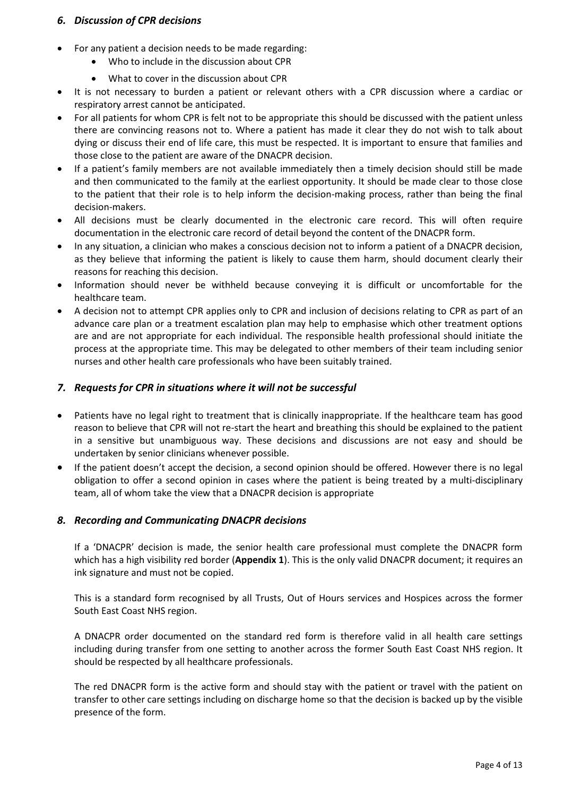#### *6. Discussion of CPR decisions*

- For any patient a decision needs to be made regarding:
	- Who to include in the discussion about CPR
	- What to cover in the discussion about CPR
- It is not necessary to burden a patient or relevant others with a CPR discussion where a cardiac or respiratory arrest cannot be anticipated.
- For all patients for whom CPR is felt not to be appropriate this should be discussed with the patient unless there are convincing reasons not to. Where a patient has made it clear they do not wish to talk about dying or discuss their end of life care, this must be respected. It is important to ensure that families and those close to the patient are aware of the DNACPR decision.
- If a patient's family members are not available immediately then a timely decision should still be made and then communicated to the family at the earliest opportunity. It should be made clear to those close to the patient that their role is to help inform the decision-making process, rather than being the final decision-makers.
- All decisions must be clearly documented in the electronic care record. This will often require documentation in the electronic care record of detail beyond the content of the DNACPR form.
- In any situation, a clinician who makes a conscious decision not to inform a patient of a DNACPR decision, as they believe that informing the patient is likely to cause them harm, should document clearly their reasons for reaching this decision.
- Information should never be withheld because conveying it is difficult or uncomfortable for the healthcare team.
- A decision not to attempt CPR applies only to CPR and inclusion of decisions relating to CPR as part of an advance care plan or a treatment escalation plan may help to emphasise which other treatment options are and are not appropriate for each individual. The responsible health professional should initiate the process at the appropriate time. This may be delegated to other members of their team including senior nurses and other health care professionals who have been suitably trained.

#### *7. Requests for CPR in situations where it will not be successful*

- Patients have no legal right to treatment that is clinically inappropriate. If the healthcare team has good reason to believe that CPR will not re-start the heart and breathing this should be explained to the patient in a sensitive but unambiguous way. These decisions and discussions are not easy and should be undertaken by senior clinicians whenever possible.
- If the patient doesn't accept the decision, a second opinion should be offered. However there is no legal obligation to offer a second opinion in cases where the patient is being treated by a multi-disciplinary team, all of whom take the view that a DNACPR decision is appropriate

#### *8. Recording and Communicating DNACPR decisions*

If a 'DNACPR' decision is made, the senior health care professional must complete the DNACPR form which has a high visibility red border (**Appendix 1**). This is the only valid DNACPR document; it requires an ink signature and must not be copied.

This is a standard form recognised by all Trusts, Out of Hours services and Hospices across the former South East Coast NHS region.

A DNACPR order documented on the standard red form is therefore valid in all health care settings including during transfer from one setting to another across the former South East Coast NHS region. It should be respected by all healthcare professionals.

The red DNACPR form is the active form and should stay with the patient or travel with the patient on transfer to other care settings including on discharge home so that the decision is backed up by the visible presence of the form.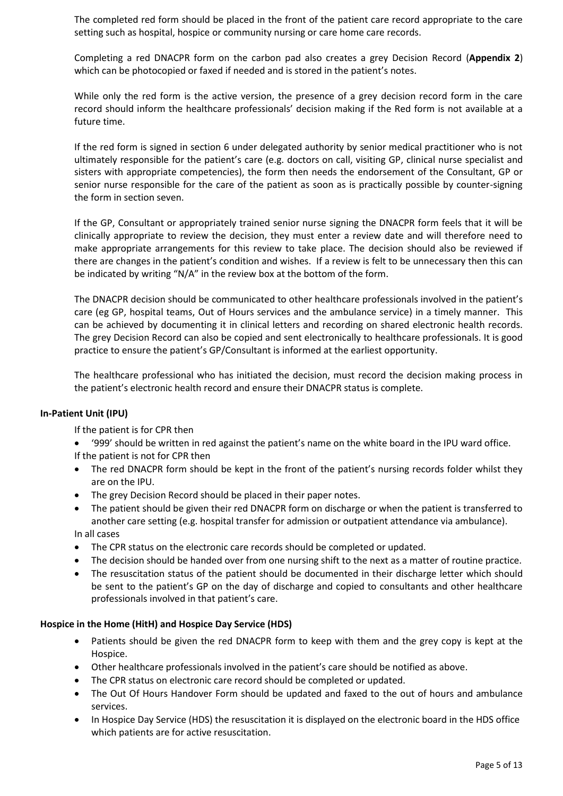The completed red form should be placed in the front of the patient care record appropriate to the care setting such as hospital, hospice or community nursing or care home care records.

Completing a red DNACPR form on the carbon pad also creates a grey Decision Record (**Appendix 2**) which can be photocopied or faxed if needed and is stored in the patient's notes.

While only the red form is the active version, the presence of a grey decision record form in the care record should inform the healthcare professionals' decision making if the Red form is not available at a future time.

If the red form is signed in section 6 under delegated authority by senior medical practitioner who is not ultimately responsible for the patient's care (e.g. doctors on call, visiting GP, clinical nurse specialist and sisters with appropriate competencies), the form then needs the endorsement of the Consultant, GP or senior nurse responsible for the care of the patient as soon as is practically possible by counter-signing the form in section seven.

If the GP, Consultant or appropriately trained senior nurse signing the DNACPR form feels that it will be clinically appropriate to review the decision, they must enter a review date and will therefore need to make appropriate arrangements for this review to take place. The decision should also be reviewed if there are changes in the patient's condition and wishes. If a review is felt to be unnecessary then this can be indicated by writing "N/A" in the review box at the bottom of the form.

The DNACPR decision should be communicated to other healthcare professionals involved in the patient's care (eg GP, hospital teams, Out of Hours services and the ambulance service) in a timely manner. This can be achieved by documenting it in clinical letters and recording on shared electronic health records. The grey Decision Record can also be copied and sent electronically to healthcare professionals. It is good practice to ensure the patient's GP/Consultant is informed at the earliest opportunity.

The healthcare professional who has initiated the decision, must record the decision making process in the patient's electronic health record and ensure their DNACPR status is complete.

#### **In-Patient Unit (IPU)**

If the patient is for CPR then

- '999' should be written in red against the patient's name on the white board in the IPU ward office. If the patient is not for CPR then
- The red DNACPR form should be kept in the front of the patient's nursing records folder whilst they are on the IPU.
- The grey Decision Record should be placed in their paper notes.
- The patient should be given their red DNACPR form on discharge or when the patient is transferred to another care setting (e.g. hospital transfer for admission or outpatient attendance via ambulance). In all cases
- The CPR status on the electronic care records should be completed or updated.
- The decision should be handed over from one nursing shift to the next as a matter of routine practice.
- The resuscitation status of the patient should be documented in their discharge letter which should be sent to the patient's GP on the day of discharge and copied to consultants and other healthcare professionals involved in that patient's care.

#### **Hospice in the Home (HitH) and Hospice Day Service (HDS)**

- Patients should be given the red DNACPR form to keep with them and the grey copy is kept at the Hospice.
- Other healthcare professionals involved in the patient's care should be notified as above.
- The CPR status on electronic care record should be completed or updated.
- The Out Of Hours Handover Form should be updated and faxed to the out of hours and ambulance services.
- In Hospice Day Service (HDS) the resuscitation it is displayed on the electronic board in the HDS office which patients are for active resuscitation.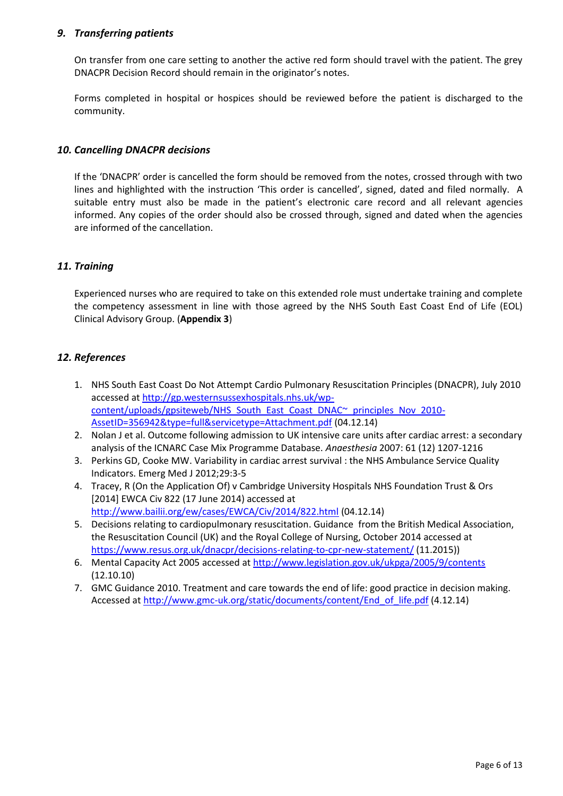#### *9. Transferring patients*

On transfer from one care setting to another the active red form should travel with the patient. The grey DNACPR Decision Record should remain in the originator's notes.

Forms completed in hospital or hospices should be reviewed before the patient is discharged to the community.

#### *10. Cancelling DNACPR decisions*

If the 'DNACPR' order is cancelled the form should be removed from the notes, crossed through with two lines and highlighted with the instruction 'This order is cancelled', signed, dated and filed normally. A suitable entry must also be made in the patient's electronic care record and all relevant agencies informed. Any copies of the order should also be crossed through, signed and dated when the agencies are informed of the cancellation.

# *11. Training*

Experienced nurses who are required to take on this extended role must undertake training and complete the competency assessment in line with those agreed by the NHS South East Coast End of Life (EOL) Clinical Advisory Group. (**Appendix 3**)

### *12. References*

- 1. NHS South East Coast Do Not Attempt Cardio Pulmonary Resuscitation Principles (DNACPR), July 2010 accessed a[t http://gp.westernsussexhospitals.nhs.uk/wp](http://gp.westernsussexhospitals.nhs.uk/wp-content/uploads/gpsiteweb/NHS_South_East_Coast_DNAC~_principles_Nov_2010-AssetID=356942&type=full&servicetype=Attachment.pdf)[content/uploads/gpsiteweb/NHS\\_South\\_East\\_Coast\\_DNAC~\\_principles\\_Nov\\_2010-](http://gp.westernsussexhospitals.nhs.uk/wp-content/uploads/gpsiteweb/NHS_South_East_Coast_DNAC~_principles_Nov_2010-AssetID=356942&type=full&servicetype=Attachment.pdf) [AssetID=356942&type=full&servicetype=Attachment.pdf](http://gp.westernsussexhospitals.nhs.uk/wp-content/uploads/gpsiteweb/NHS_South_East_Coast_DNAC~_principles_Nov_2010-AssetID=356942&type=full&servicetype=Attachment.pdf) (04.12.14)
- 2. Nolan J et al. Outcome following admission to UK intensive care units after cardiac arrest: a secondary analysis of the ICNARC Case Mix Programme Database. *Anaesthesia* 2007: 61 (12) 1207-1216
- 3. Perkins GD, Cooke MW. Variability in cardiac arrest survival : the NHS Ambulance Service Quality Indicators. Emerg Med J 2012;29:3-5
- 4. Tracey, R (On the Application Of) v Cambridge University Hospitals NHS Foundation Trust & Ors [2014] EWCA Civ 822 (17 June 2014) accessed at <http://www.bailii.org/ew/cases/EWCA/Civ/2014/822.html> (04.12.14)
- 5. Decisions relating to cardiopulmonary resuscitation. Guidance from the British Medical Association, the Resuscitation Council (UK) and the Royal College of Nursing, October 2014 accessed at <https://www.resus.org.uk/dnacpr/decisions-relating-to-cpr-new-statement/> (11.2015))
- 6. Mental Capacity Act 2005 accessed a[t http://www.legislation.gov.uk/ukpga/2005/9/contents](http://www.legislation.gov.uk/ukpga/2005/9/contents) (12.10.10)
- 7. GMC Guidance 2010. Treatment and care towards the end of life: good practice in decision making. Accessed a[t http://www.gmc-uk.org/static/documents/content/End\\_of\\_life.pdf](http://www.gmc-uk.org/static/documents/content/End_of_life.pdf) (4.12.14)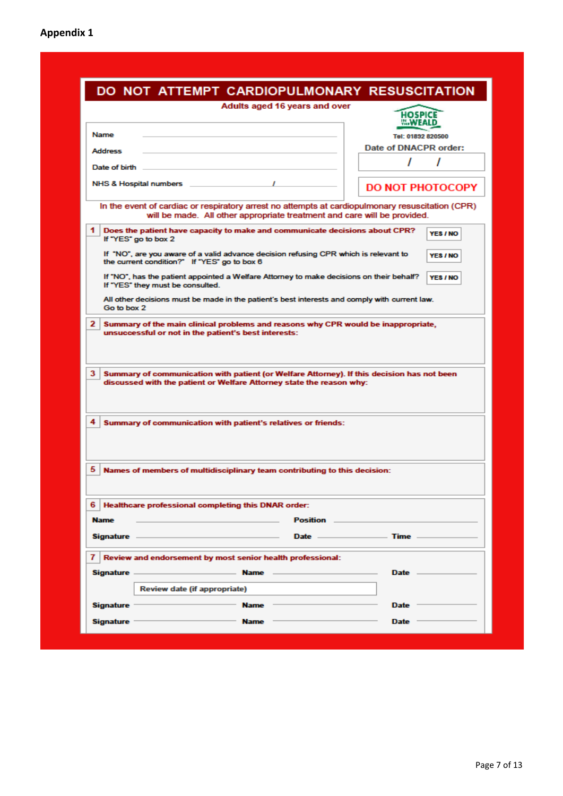| DO NOT ATTEMPT CARDIOPULMONARY RESUSCITATION<br>Adults aged 16 years and over                                                                                                                                                        |                                                                          |
|--------------------------------------------------------------------------------------------------------------------------------------------------------------------------------------------------------------------------------------|--------------------------------------------------------------------------|
|                                                                                                                                                                                                                                      | <b>HOSPICE</b><br><b>THE WEALD</b>                                       |
| <b>Name</b>                                                                                                                                                                                                                          | Tel: 01892 820500                                                        |
| Address                                                                                                                                                                                                                              | Date of DNACPR order:                                                    |
| Date of birth                                                                                                                                                                                                                        | ,<br>ı                                                                   |
|                                                                                                                                                                                                                                      |                                                                          |
| NHS & Hospital numbers                                                                                                                                                                                                               | <b>DO NOT PHOTOCOPY</b>                                                  |
| In the event of cardiac or respiratory arrest no attempts at cardiopulmonary resuscitation (CPR)                                                                                                                                     | will be made. All other appropriate treatment and care will be provided. |
| 1.<br>Does the patient have capacity to make and communicate decisions about CPR?<br>If "YES" go to box 2                                                                                                                            | YES / NO                                                                 |
| If "NO", are you aware of a valid advance decision refusing CPR which is relevant to<br>the current condition?" If "YES" go to box 6                                                                                                 | YES / NO                                                                 |
| If "NO", has the patient appointed a Welfare Attorney to make decisions on their behalf?<br>If "YES" they must be consulted.                                                                                                         | YES / NO                                                                 |
| All other decisions must be made in the patient's best interests and comply with current law.<br>Go to box 2                                                                                                                         |                                                                          |
|                                                                                                                                                                                                                                      |                                                                          |
| 3<br>Summary of communication with patient (or Welfare Attorney). If this decision has not been<br>discussed with the patient or Welfare Attorney state the reason why:                                                              |                                                                          |
| Summary of communication with patient's relatives or friends:                                                                                                                                                                        |                                                                          |
| Names of members of multidisciplinary team contributing to this decision:                                                                                                                                                            |                                                                          |
| Healthcare professional completing this DNAR order:                                                                                                                                                                                  |                                                                          |
|                                                                                                                                                                                                                                      | Position _________                                                       |
|                                                                                                                                                                                                                                      | Date $-$<br>. Time -                                                     |
| Review and endorsement by most senior health professional:                                                                                                                                                                           |                                                                          |
| <b>Name All Annual Contract Contract Contract Contract Contract Contract Contract Contract Contract Contract Contract Contract Contract Contract Contract Contract Contract Contract Contract Contract Contract Contract Contrac</b> | Date -                                                                   |
| 4<br>5<br>6.<br><b>Name</b><br>Signature –<br>71<br>Signature —<br><b>Review date (if appropriate)</b><br>Signature -<br>Name                                                                                                        | <b>Date</b>                                                              |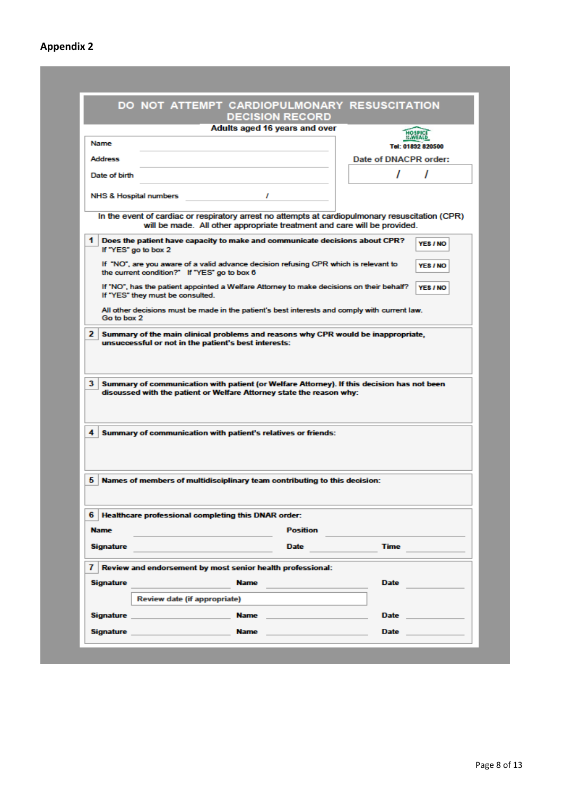# **Appendix 2**

|                   | DO NOT ATTEMPT CARDIOPULMONARY RESUSCITATION<br><b>DECISION RECORD</b>                                                                                                                                                                            |                       |                   |
|-------------------|---------------------------------------------------------------------------------------------------------------------------------------------------------------------------------------------------------------------------------------------------|-----------------------|-------------------|
|                   | Adults aged 16 years and over                                                                                                                                                                                                                     |                       |                   |
| <b>Name</b>       |                                                                                                                                                                                                                                                   |                       |                   |
| <b>Address</b>    |                                                                                                                                                                                                                                                   | Date of DNACPR order: | Tel: 01892 820500 |
|                   |                                                                                                                                                                                                                                                   |                       |                   |
| Date of birth     |                                                                                                                                                                                                                                                   |                       |                   |
|                   | <b>NHS &amp; Hospital numbers</b><br>,                                                                                                                                                                                                            |                       |                   |
|                   | In the event of cardiac or respiratory arrest no attempts at cardiopulmonary resuscitation (CPR)<br>will be made. All other appropriate treatment and care will be provided.                                                                      |                       |                   |
| 1                 | Does the patient have capacity to make and communicate decisions about CPR?<br>If "YES" go to box 2                                                                                                                                               |                       | YES / NO          |
|                   | If "NO", are you aware of a valid advance decision refusing CPR which is relevant to<br>the current condition?" If "YES" go to box 6                                                                                                              |                       | YES / NO          |
|                   | If "NO", has the patient appointed a Welfare Attorney to make decisions on their behalf?<br>If "YES" they must be consulted.                                                                                                                      |                       | YES / NO          |
| Go to box 2       | All other decisions must be made in the patient's best interests and comply with current law.                                                                                                                                                     |                       |                   |
| $\mathbf{2}$<br>3 | Summary of the main clinical problems and reasons why CPR would be inappropriate,<br>unsuccessful or not in the patient's best interests:<br>Summary of communication with patient (or Welfare Attorney). If this decision has not been           |                       |                   |
|                   | discussed with the patient or Welfare Attorney state the reason why:                                                                                                                                                                              |                       |                   |
| 4                 | Summary of communication with patient's relatives or friends:                                                                                                                                                                                     |                       |                   |
|                   | Names of members of multidisciplinary team contributing to this decision:                                                                                                                                                                         |                       |                   |
|                   | 6   Healthcare professional completing this DNAR order:                                                                                                                                                                                           |                       |                   |
| 5<br><b>Name</b>  | <b>Position</b>                                                                                                                                                                                                                                   |                       |                   |
| <b>Signature</b>  | <b>Date</b>                                                                                                                                                                                                                                       | <b>Time</b>           |                   |
| 71                | Review and endorsement by most senior health professional:                                                                                                                                                                                        |                       |                   |
| <b>Signature</b>  | <b>Name</b>                                                                                                                                                                                                                                       | Date                  |                   |
|                   | Review date (if appropriate)                                                                                                                                                                                                                      |                       |                   |
|                   | <b>Signature and Signature</b> and Signature and Signature and Signature and Signature and Signature and Signature and Signature and Signature and Signature and Signature and Signature and Signature and Signature and Signature<br><b>Name</b> | <b>Date</b>           |                   |

a sa mga bangay na mga bangay na mga bangay ng mga bangay ng mga bangay ng mga bangay ng mga bangay ng mga ban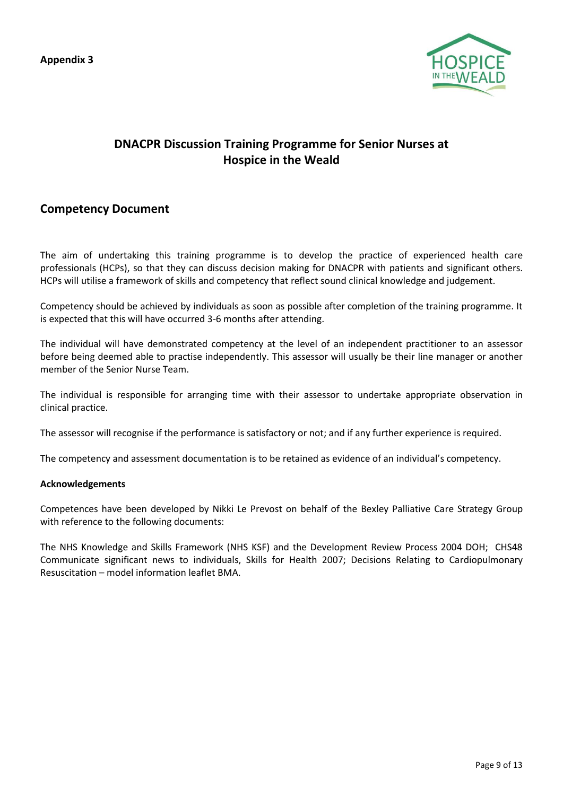**Appendix 3**



# **DNACPR Discussion Training Programme for Senior Nurses at Hospice in the Weald**

# **Competency Document**

The aim of undertaking this training programme is to develop the practice of experienced health care professionals (HCPs), so that they can discuss decision making for DNACPR with patients and significant others. HCPs will utilise a framework of skills and competency that reflect sound clinical knowledge and judgement.

Competency should be achieved by individuals as soon as possible after completion of the training programme. It is expected that this will have occurred 3-6 months after attending.

The individual will have demonstrated competency at the level of an independent practitioner to an assessor before being deemed able to practise independently. This assessor will usually be their line manager or another member of the Senior Nurse Team.

The individual is responsible for arranging time with their assessor to undertake appropriate observation in clinical practice.

The assessor will recognise if the performance is satisfactory or not; and if any further experience is required.

The competency and assessment documentation is to be retained as evidence of an individual's competency.

#### **Acknowledgements**

Competences have been developed by Nikki Le Prevost on behalf of the Bexley Palliative Care Strategy Group with reference to the following documents:

The NHS Knowledge and Skills Framework (NHS KSF) and the Development Review Process 2004 DOH; CHS48 Communicate significant news to individuals, Skills for Health 2007; Decisions Relating to Cardiopulmonary Resuscitation – model information leaflet BMA.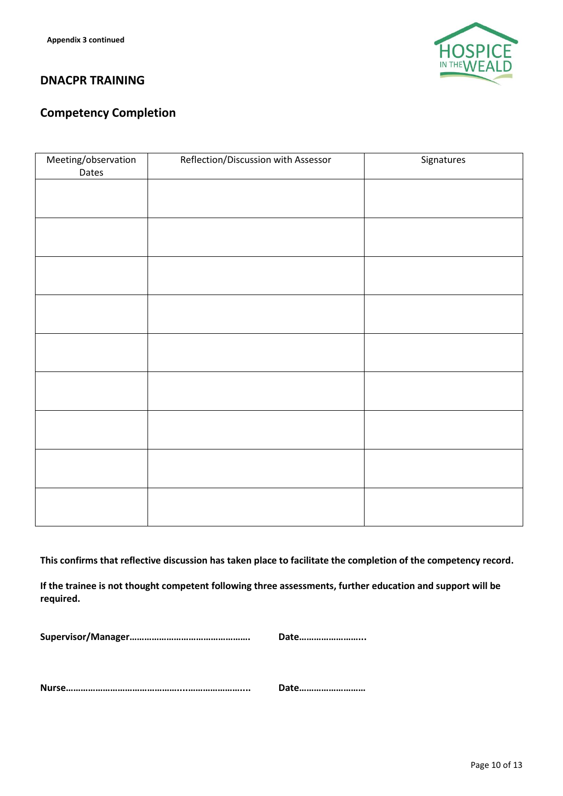

# **DNACPR TRAINING**

# **Competency Completion**

| Meeting/observation<br>Dates | Reflection/Discussion with Assessor | Signatures |
|------------------------------|-------------------------------------|------------|
|                              |                                     |            |
|                              |                                     |            |
|                              |                                     |            |
|                              |                                     |            |
|                              |                                     |            |
|                              |                                     |            |
|                              |                                     |            |
|                              |                                     |            |
|                              |                                     |            |
|                              |                                     |            |
|                              |                                     |            |
|                              |                                     |            |
|                              |                                     |            |
|                              |                                     |            |
|                              |                                     |            |
|                              |                                     |            |
|                              |                                     |            |

**This confirms that reflective discussion has taken place to facilitate the completion of the competency record.**

**If the trainee is not thought competent following three assessments, further education and support will be required.**

**Supervisor/Manager…………………………………………. Date……………………...**

**Nurse………………………………………....………………….... Date………………………**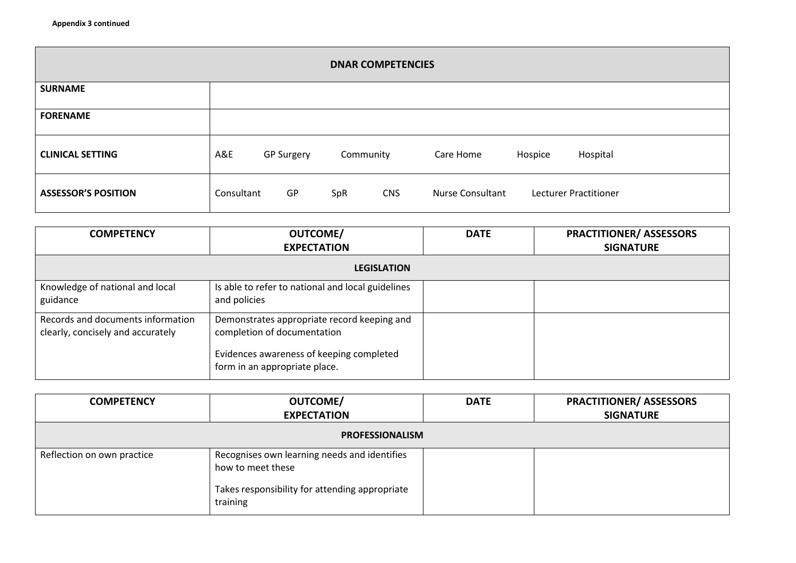| <b>DNAR COMPETENCIES</b>   |            |                   |           |            |                  |         |                       |  |
|----------------------------|------------|-------------------|-----------|------------|------------------|---------|-----------------------|--|
| <b>SURNAME</b>             |            |                   |           |            |                  |         |                       |  |
| <b>FORENAME</b>            |            |                   |           |            |                  |         |                       |  |
| <b>CLINICAL SETTING</b>    | A&E        | <b>GP Surgery</b> | Community |            | Care Home        | Hospice | Hospital              |  |
| <b>ASSESSOR'S POSITION</b> | Consultant | GP                | SpR       | <b>CNS</b> | Nurse Consultant |         | Lecturer Practitioner |  |

| <b>COMPETENCY</b>                                                      | <b>OUTCOME/</b><br><b>EXPECTATION</b>                                                                                                                   | <b>DATE</b> | <b>PRACTITIONER/ ASSESSORS</b><br><b>SIGNATURE</b> |
|------------------------------------------------------------------------|---------------------------------------------------------------------------------------------------------------------------------------------------------|-------------|----------------------------------------------------|
|                                                                        | <b>LEGISLATION</b>                                                                                                                                      |             |                                                    |
| Knowledge of national and local<br>guidance                            | Is able to refer to national and local guidelines<br>and policies                                                                                       |             |                                                    |
| Records and documents information<br>clearly, concisely and accurately | Demonstrates appropriate record keeping and<br>completion of documentation<br>Evidences awareness of keeping completed<br>form in an appropriate place. |             |                                                    |

| <b>COMPETENCY</b>          | <b>OUTCOME/</b><br><b>EXPECTATION</b>                                                                                           | <b>DATE</b> | <b>PRACTITIONER/ ASSESSORS</b><br><b>SIGNATURE</b> |
|----------------------------|---------------------------------------------------------------------------------------------------------------------------------|-------------|----------------------------------------------------|
|                            | <b>PROFESSIONALISM</b>                                                                                                          |             |                                                    |
| Reflection on own practice | Recognises own learning needs and identifies<br>how to meet these<br>Takes responsibility for attending appropriate<br>training |             |                                                    |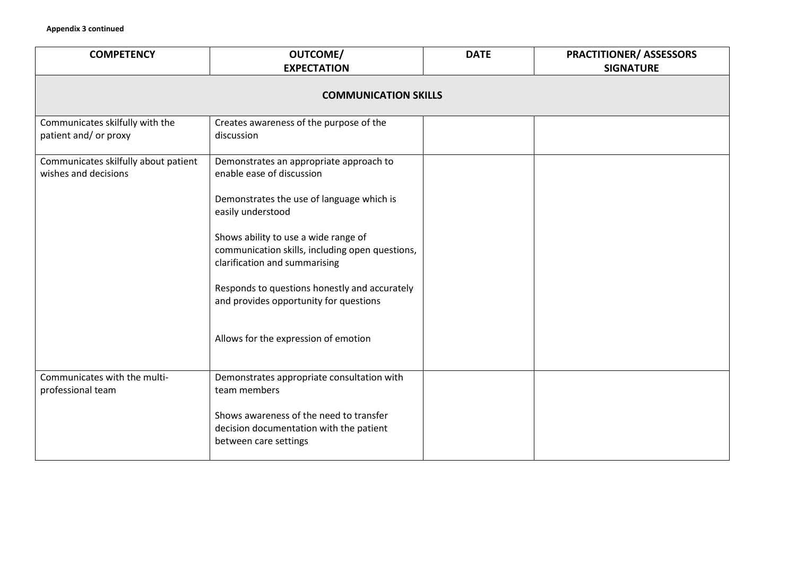| <b>COMPETENCY</b>                                            | <b>OUTCOME/</b><br><b>EXPECTATION</b>                                                                                    | <b>DATE</b> | <b>PRACTITIONER/ ASSESSORS</b><br><b>SIGNATURE</b> |  |  |  |
|--------------------------------------------------------------|--------------------------------------------------------------------------------------------------------------------------|-------------|----------------------------------------------------|--|--|--|
| <b>COMMUNICATION SKILLS</b>                                  |                                                                                                                          |             |                                                    |  |  |  |
| Communicates skilfully with the<br>patient and/ or proxy     | Creates awareness of the purpose of the<br>discussion                                                                    |             |                                                    |  |  |  |
| Communicates skilfully about patient<br>wishes and decisions | Demonstrates an appropriate approach to<br>enable ease of discussion                                                     |             |                                                    |  |  |  |
|                                                              | Demonstrates the use of language which is<br>easily understood                                                           |             |                                                    |  |  |  |
|                                                              | Shows ability to use a wide range of<br>communication skills, including open questions,<br>clarification and summarising |             |                                                    |  |  |  |
|                                                              | Responds to questions honestly and accurately<br>and provides opportunity for questions                                  |             |                                                    |  |  |  |
|                                                              | Allows for the expression of emotion                                                                                     |             |                                                    |  |  |  |
| Communicates with the multi-<br>professional team            | Demonstrates appropriate consultation with<br>team members                                                               |             |                                                    |  |  |  |
|                                                              | Shows awareness of the need to transfer<br>decision documentation with the patient<br>between care settings              |             |                                                    |  |  |  |